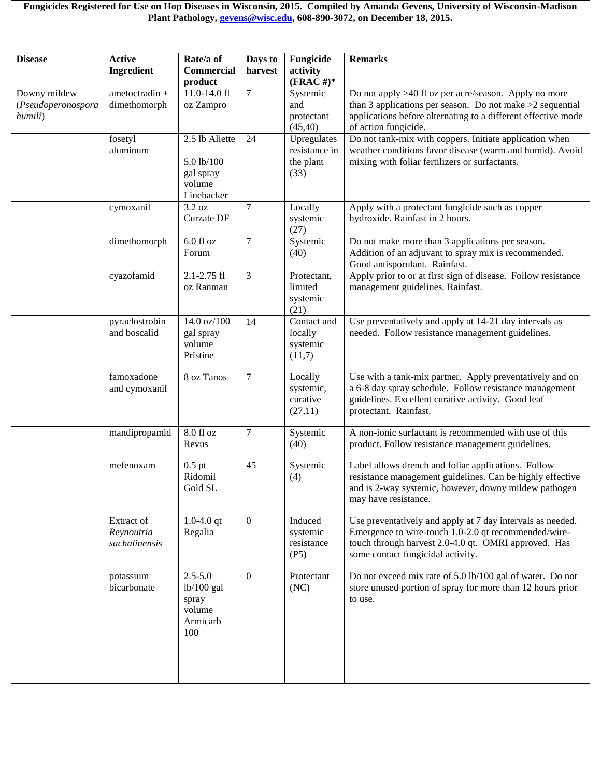**Fungicides Registered for Use on Hop Diseases in Wisconsin, 2015. Compiled by Amanda Gevens, University of Wisconsin-Madison Plant Pathology, [gevens@wisc.edu,](mailto:gevens@wisc.edu) 608-890-3072, on December 18, 2015.**

| <b>Disease</b>                | <b>Active</b>                  | Rate/a of                    | Days to        | Fungicide                         | <b>Remarks</b>                                                                                                               |
|-------------------------------|--------------------------------|------------------------------|----------------|-----------------------------------|------------------------------------------------------------------------------------------------------------------------------|
|                               | Ingredient                     | <b>Commercial</b><br>product | harvest        | activity<br>$(\text{FRAC}\,\#)^*$ |                                                                                                                              |
| Downy mildew                  | ametoctradin +                 | $11.0 - 14.0$ fl             | $\tau$         | Systemic                          | Do not apply >40 fl oz per acre/season. Apply no more                                                                        |
| (Pseudoperonospora<br>humili) | dimethomorph                   | oz Zampro                    |                | and<br>protectant                 | than 3 applications per season. Do not make $>2$ sequential<br>applications before alternating to a different effective mode |
|                               |                                |                              |                | (45, 40)                          | of action fungicide.                                                                                                         |
|                               | fosetyl<br>aluminum            | 2.5 lb Aliette               | 24             | Upregulates<br>resistance in      | Do not tank-mix with coppers. Initiate application when<br>weather conditions favor disease (warm and humid). Avoid          |
|                               |                                | $5.0$ lb/100                 |                | the plant                         | mixing with foliar fertilizers or surfactants.                                                                               |
|                               |                                | gal spray<br>volume          |                | (33)                              |                                                                                                                              |
|                               |                                | Linebacker                   |                |                                   |                                                                                                                              |
|                               | cymoxanil                      | 3.2 oz                       | 7              | Locally                           | Apply with a protectant fungicide such as copper                                                                             |
|                               |                                | Curzate DF                   |                | systemic<br>(27)                  | hydroxide. Rainfast in 2 hours.                                                                                              |
|                               | dimethomorph                   | $6.0$ fl $oz$                | $\overline{7}$ | Systemic                          | Do not make more than $\overline{3}$ applications per season.                                                                |
|                               |                                | Forum                        |                | (40)                              | Addition of an adjuvant to spray mix is recommended.<br>Good antisporulant. Rainfast.                                        |
|                               | cyazofamid                     | $2.1 - 2.75$ fl              | 3              | Protectant,                       | Apply prior to or at first sign of disease. Follow resistance                                                                |
|                               |                                | oz Ranman                    |                | limited<br>systemic               | management guidelines. Rainfast.                                                                                             |
|                               |                                |                              |                | (21)                              |                                                                                                                              |
|                               | pyraclostrobin<br>and boscalid | 14.0 oz/100<br>gal spray     | 14             | Contact and<br>locally            | Use preventatively and apply at 14-21 day intervals as<br>needed. Follow resistance management guidelines.                   |
|                               |                                | volume                       |                | systemic                          |                                                                                                                              |
|                               |                                | Pristine                     |                | (11,7)                            |                                                                                                                              |
|                               | famoxadone                     | 8 oz Tanos                   | $\overline{7}$ | Locally                           | Use with a tank-mix partner. Apply preventatively and on                                                                     |
|                               | and cymoxanil                  |                              |                | systemic,<br>curative             | a 6-8 day spray schedule. Follow resistance management<br>guidelines. Excellent curative activity. Good leaf                 |
|                               |                                |                              |                | (27,11)                           | protectant. Rainfast.                                                                                                        |
|                               | mandipropamid                  | 8.0 fl oz                    | 7              | Systemic                          | A non-ionic surfactant is recommended with use of this                                                                       |
|                               |                                | Revus                        |                | (40)                              | product. Follow resistance management guidelines.                                                                            |
|                               | mefenoxam                      | $0.5$ pt<br>Ridomil          | 45             | Systemic                          | Label allows drench and foliar applications. Follow<br>resistance management guidelines. Can be highly effective             |
|                               |                                | Gold SL                      |                | (4)                               | and is 2-way systemic, however, downy mildew pathogen                                                                        |
|                               |                                |                              |                |                                   | may have resistance.                                                                                                         |
|                               | Extract of                     | $1.0 - 4.0$ qt               | $\mathbf{0}$   | Induced                           | Use preventatively and apply at 7 day intervals as needed.                                                                   |
|                               | Reynoutria<br>sachalinensis    | Regalia                      |                | systemic<br>resistance            | Emergence to wire-touch 1.0-2.0 qt recommended/wire-<br>touch through harvest 2.0-4.0 qt. OMRI approved. Has                 |
|                               |                                |                              |                | (P5)                              | some contact fungicidal activity.                                                                                            |
|                               | potassium                      | $2.5 - 5.0$                  | $\overline{0}$ | Protectant                        | Do not exceed mix rate of 5.0 lb/100 gal of water. Do not                                                                    |
|                               | bicarbonate                    | $lb/100$ gal                 |                | (NC)                              | store unused portion of spray for more than 12 hours prior<br>to use.                                                        |
|                               |                                | spray<br>volume              |                |                                   |                                                                                                                              |
|                               |                                | Armicarb<br>100              |                |                                   |                                                                                                                              |
|                               |                                |                              |                |                                   |                                                                                                                              |
|                               |                                |                              |                |                                   |                                                                                                                              |
|                               |                                |                              |                |                                   |                                                                                                                              |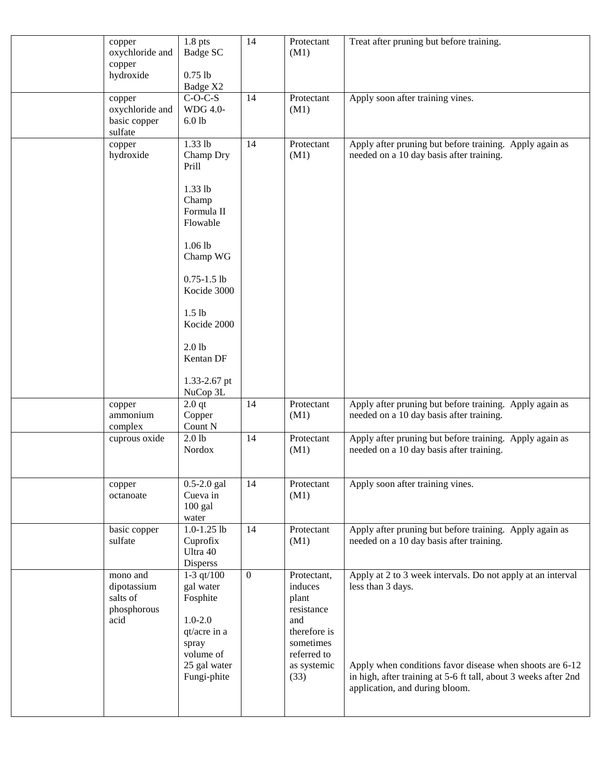| copper<br>oxychloride and<br>copper<br>hydroxide           | $1.8$ pts<br>Badge SC<br>$0.75$ lb<br>Badge X2                                                                                                                                                                                 | 14           | Protectant<br>(M1)                                                                                                      | Treat after pruning but before training.                                                                                                                                                                                                          |
|------------------------------------------------------------|--------------------------------------------------------------------------------------------------------------------------------------------------------------------------------------------------------------------------------|--------------|-------------------------------------------------------------------------------------------------------------------------|---------------------------------------------------------------------------------------------------------------------------------------------------------------------------------------------------------------------------------------------------|
| copper<br>oxychloride and<br>basic copper<br>sulfate       | $C-O-C-S$<br>WDG 4.0-<br>$6.0$ lb                                                                                                                                                                                              | 14           | Protectant<br>(M1)                                                                                                      | Apply soon after training vines.                                                                                                                                                                                                                  |
| copper<br>hydroxide                                        | $1.33$ lb<br>Champ Dry<br>Prill<br>$1.33$ lb<br>Champ<br>Formula II<br>Flowable<br>$1.06$ lb<br>Champ WG<br>$0.75 - 1.5$ lb<br>Kocide 3000<br>$1.5$ lb<br>Kocide 2000<br>$2.0$ lb<br>Kentan DF<br>$1.33 - 2.67$ pt<br>NuCop 3L | 14           | Protectant<br>(M1)                                                                                                      | Apply after pruning but before training. Apply again as<br>needed on a 10 day basis after training.                                                                                                                                               |
| copper<br>ammonium<br>complex                              | $2.0$ qt<br>Copper<br>Count N                                                                                                                                                                                                  | 14           | Protectant<br>(M1)                                                                                                      | Apply after pruning but before training. Apply again as<br>needed on a 10 day basis after training.                                                                                                                                               |
| cuprous oxide                                              | $2.0$ lb<br>Nordox                                                                                                                                                                                                             | 14           | Protectant<br>(M1)                                                                                                      | Apply after pruning but before training. Apply again as<br>needed on a 10 day basis after training.                                                                                                                                               |
| copper<br>octanoate                                        | $0.5 - 2.0$ gal<br>Cueva in<br>$100$ gal<br>water                                                                                                                                                                              | 14           | Protectant<br>(M1)                                                                                                      | Apply soon after training vines.                                                                                                                                                                                                                  |
| basic copper<br>sulfate                                    | $1.0 - 1.25$ lb<br>Cuprofix<br>Ultra 40<br>Disperss                                                                                                                                                                            | 14           | Protectant<br>(M1)                                                                                                      | Apply after pruning but before training. Apply again as<br>needed on a 10 day basis after training.                                                                                                                                               |
| mono and<br>dipotassium<br>salts of<br>phosphorous<br>acid | 1-3 $qt/100$<br>gal water<br>Fosphite<br>$1.0 - 2.0$<br>qt/acre in a<br>spray<br>volume of<br>25 gal water<br>Fungi-phite                                                                                                      | $\mathbf{0}$ | Protectant,<br>induces<br>plant<br>resistance<br>and<br>therefore is<br>sometimes<br>referred to<br>as systemic<br>(33) | Apply at 2 to 3 week intervals. Do not apply at an interval<br>less than 3 days.<br>Apply when conditions favor disease when shoots are 6-12<br>in high, after training at 5-6 ft tall, about 3 weeks after 2nd<br>application, and during bloom. |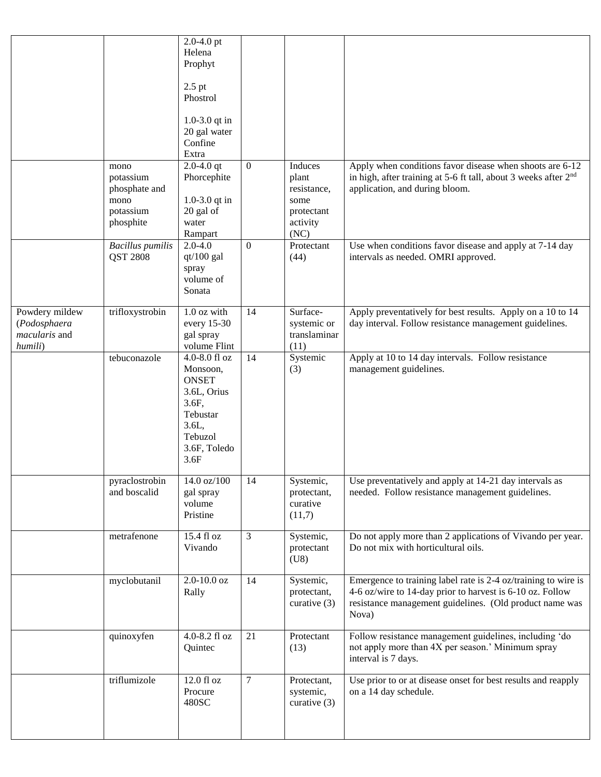|                |                         | $2.0 - 4.0$ pt  |                |                |                                                                             |
|----------------|-------------------------|-----------------|----------------|----------------|-----------------------------------------------------------------------------|
|                |                         | Helena          |                |                |                                                                             |
|                |                         | Prophyt         |                |                |                                                                             |
|                |                         |                 |                |                |                                                                             |
|                |                         | $2.5$ pt        |                |                |                                                                             |
|                |                         |                 |                |                |                                                                             |
|                |                         | Phostrol        |                |                |                                                                             |
|                |                         |                 |                |                |                                                                             |
|                |                         | 1.0-3.0 $qt$ in |                |                |                                                                             |
|                |                         | 20 gal water    |                |                |                                                                             |
|                |                         | Confine         |                |                |                                                                             |
|                |                         | Extra           |                |                |                                                                             |
|                | mono                    | $2.0 - 4.0$ qt  | $\overline{0}$ | Induces        | Apply when conditions favor disease when shoots are 6-12                    |
|                | potassium               | Phorcephite     |                | plant          | in high, after training at 5-6 ft tall, about 3 weeks after 2 <sup>nd</sup> |
|                | phosphate and           |                 |                | resistance,    | application, and during bloom.                                              |
|                | mono                    | 1.0-3.0 qt in   |                | some           |                                                                             |
|                |                         |                 |                |                |                                                                             |
|                | potassium               | 20 gal of       |                | protectant     |                                                                             |
|                | phosphite               | water           |                | activity       |                                                                             |
|                |                         | Rampart         |                | (NC)           |                                                                             |
|                | <b>Bacillus</b> pumilis | $2.0 - 4.0$     | $\mathbf{0}$   | Protectant     | Use when conditions favor disease and apply at 7-14 day                     |
|                | <b>QST 2808</b>         | $qt/100$ gal    |                | (44)           | intervals as needed. OMRI approved.                                         |
|                |                         | spray           |                |                |                                                                             |
|                |                         | volume of       |                |                |                                                                             |
|                |                         | Sonata          |                |                |                                                                             |
|                |                         |                 |                |                |                                                                             |
| Powdery mildew | trifloxystrobin         | $1.0$ oz with   | 14             | Surface-       | Apply preventatively for best results. Apply on a 10 to 14                  |
| (Podosphaera   |                         | every 15-30     |                |                | day interval. Follow resistance management guidelines.                      |
|                |                         |                 |                | systemic or    |                                                                             |
| macularis and  |                         | gal spray       |                | translaminar   |                                                                             |
| humili)        |                         | volume Flint    |                | (11)           |                                                                             |
|                | tebuconazole            | 4.0-8.0 fl oz   | 14             | Systemic       | Apply at 10 to 14 day intervals. Follow resistance                          |
|                |                         | Monsoon,        |                | (3)            | management guidelines.                                                      |
|                |                         | <b>ONSET</b>    |                |                |                                                                             |
|                |                         | 3.6L, Orius     |                |                |                                                                             |
|                |                         | $3.6F$ ,        |                |                |                                                                             |
|                |                         | Tebustar        |                |                |                                                                             |
|                |                         | 3.6L,           |                |                |                                                                             |
|                |                         | Tebuzol         |                |                |                                                                             |
|                |                         |                 |                |                |                                                                             |
|                |                         | 3.6F, Toledo    |                |                |                                                                             |
|                |                         | 3.6F            |                |                |                                                                             |
|                |                         |                 |                |                |                                                                             |
|                | pyraclostrobin          | 14.0 oz/100     | 14             | Systemic,      | Use preventatively and apply at 14-21 day intervals as                      |
|                | and boscalid            | gal spray       |                | protectant,    | needed. Follow resistance management guidelines.                            |
|                |                         | volume          |                | curative       |                                                                             |
|                |                         | Pristine        |                | (11,7)         |                                                                             |
|                |                         |                 |                |                |                                                                             |
|                | metrafenone             | 15.4 fl oz      | 3              | Systemic,      | Do not apply more than 2 applications of Vivando per year.                  |
|                |                         | Vivando         |                | protectant     | Do not mix with horticultural oils.                                         |
|                |                         |                 |                | (U8)           |                                                                             |
|                |                         |                 |                |                |                                                                             |
|                | myclobutanil            | $2.0 - 10.0$ oz | 14             | Systemic,      | Emergence to training label rate is 2-4 oz/training to wire is              |
|                |                         | Rally           |                | protectant,    | 4-6 oz/wire to 14-day prior to harvest is 6-10 oz. Follow                   |
|                |                         |                 |                |                |                                                                             |
|                |                         |                 |                | curative (3)   | resistance management guidelines. (Old product name was                     |
|                |                         |                 |                |                | Nova)                                                                       |
|                |                         |                 |                |                |                                                                             |
|                | quinoxyfen              | 4.0-8.2 fl oz   | 21             | Protectant     | Follow resistance management guidelines, including 'do                      |
|                |                         | Quintec         |                | (13)           | not apply more than 4X per season.' Minimum spray                           |
|                |                         |                 |                |                | interval is 7 days.                                                         |
|                |                         |                 |                |                |                                                                             |
|                | triflumizole            | 12.0 fl oz      | $\overline{7}$ | Protectant,    | Use prior to or at disease onset for best results and reapply               |
|                |                         | Procure         |                | systemic,      | on a 14 day schedule.                                                       |
|                |                         | 480SC           |                | curative $(3)$ |                                                                             |
|                |                         |                 |                |                |                                                                             |
|                |                         |                 |                |                |                                                                             |
|                |                         |                 |                |                |                                                                             |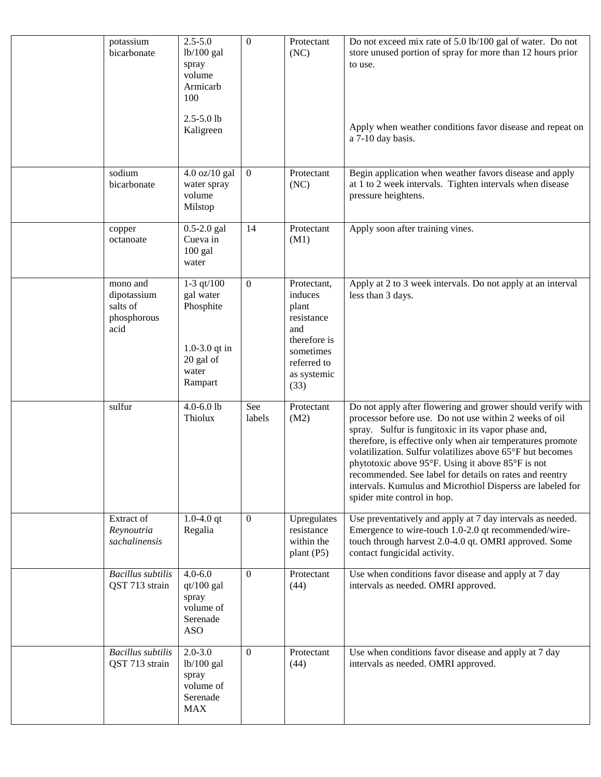| potassium<br>bicarbonate                                   | $2.5 - 5.0$<br>$lb/100$ gal<br>spray<br>volume<br>Armicarb<br>100<br>$2.5 - 5.0$ lb<br>Kaligreen | $\mathbf{0}$   | Protectant<br>(NC)                                                                                                      | Do not exceed mix rate of 5.0 lb/100 gal of water. Do not<br>store unused portion of spray for more than 12 hours prior<br>to use.<br>Apply when weather conditions favor disease and repeat on<br>a 7-10 day basis.                                                                                                                                                                                                                                                                                                |
|------------------------------------------------------------|--------------------------------------------------------------------------------------------------|----------------|-------------------------------------------------------------------------------------------------------------------------|---------------------------------------------------------------------------------------------------------------------------------------------------------------------------------------------------------------------------------------------------------------------------------------------------------------------------------------------------------------------------------------------------------------------------------------------------------------------------------------------------------------------|
| sodium<br>bicarbonate                                      | $4.0$ oz/10 gal<br>water spray<br>volume<br>Milstop                                              | $\mathbf{0}$   | Protectant<br>(NC)                                                                                                      | Begin application when weather favors disease and apply<br>at 1 to 2 week intervals. Tighten intervals when disease<br>pressure heightens.                                                                                                                                                                                                                                                                                                                                                                          |
| copper<br>octanoate                                        | $0.5 - 2.0$ gal<br>Cueva in<br>$100$ gal<br>water                                                | 14             | Protectant<br>(M1)                                                                                                      | Apply soon after training vines.                                                                                                                                                                                                                                                                                                                                                                                                                                                                                    |
| mono and<br>dipotassium<br>salts of<br>phosphorous<br>acid | 1-3 $qt/100$<br>gal water<br>Phosphite<br>1.0-3.0 qt in<br>20 gal of<br>water<br>Rampart         | $\overline{0}$ | Protectant,<br>induces<br>plant<br>resistance<br>and<br>therefore is<br>sometimes<br>referred to<br>as systemic<br>(33) | Apply at 2 to 3 week intervals. Do not apply at an interval<br>less than 3 days.                                                                                                                                                                                                                                                                                                                                                                                                                                    |
| sulfur                                                     | $4.0 - 6.0$ lb<br>Thiolux                                                                        | See<br>labels  | Protectant<br>(M2)                                                                                                      | Do not apply after flowering and grower should verify with<br>processor before use. Do not use within 2 weeks of oil<br>spray. Sulfur is fungitoxic in its vapor phase and,<br>therefore, is effective only when air temperatures promote<br>volatilization. Sulfur volatilizes above 65°F but becomes<br>phytotoxic above 95°F. Using it above 85°F is not<br>recommended. See label for details on rates and reentry<br>intervals. Kumulus and Microthiol Disperss are labeled for<br>spider mite control in hop. |
| Extract of<br>Reynoutria<br>sachalinensis                  | $1.0 - 4.0$ qt<br>Regalia                                                                        | $\theta$       | Upregulates<br>resistance<br>within the<br>plant (P5)                                                                   | Use preventatively and apply at 7 day intervals as needed.<br>Emergence to wire-touch 1.0-2.0 qt recommended/wire-<br>touch through harvest 2.0-4.0 qt. OMRI approved. Some<br>contact fungicidal activity.                                                                                                                                                                                                                                                                                                         |
| <b>Bacillus</b> subtilis<br>QST 713 strain                 | $4.0 - 6.0$<br>qt/100 gal<br>spray<br>volume of<br>Serenade<br><b>ASO</b>                        | $\overline{0}$ | Protectant<br>(44)                                                                                                      | Use when conditions favor disease and apply at 7 day<br>intervals as needed. OMRI approved.                                                                                                                                                                                                                                                                                                                                                                                                                         |
| <b>Bacillus</b> subtilis<br>QST 713 strain                 | $2.0 - 3.0$<br>$lb/100$ gal<br>spray<br>volume of<br>Serenade<br><b>MAX</b>                      | $\overline{0}$ | Protectant<br>(44)                                                                                                      | Use when conditions favor disease and apply at 7 day<br>intervals as needed. OMRI approved.                                                                                                                                                                                                                                                                                                                                                                                                                         |